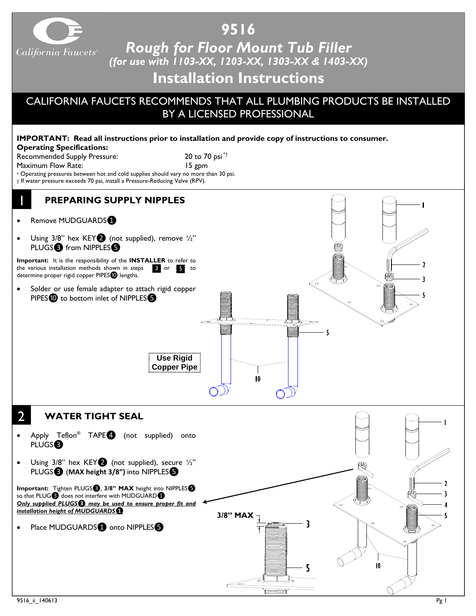

## **9516**

*Rough for Floor Mount Tub Filler (for use with 1103-XX, 1203-XX, 1303-XX & 1403-XX)*

## **Installation Instructions**

## CALIFORNIA FAUCETS RECOMMENDS THAT ALL PLUMBING PRODUCTS BE INSTALLED BY A LICENSED PROFESSIONAL

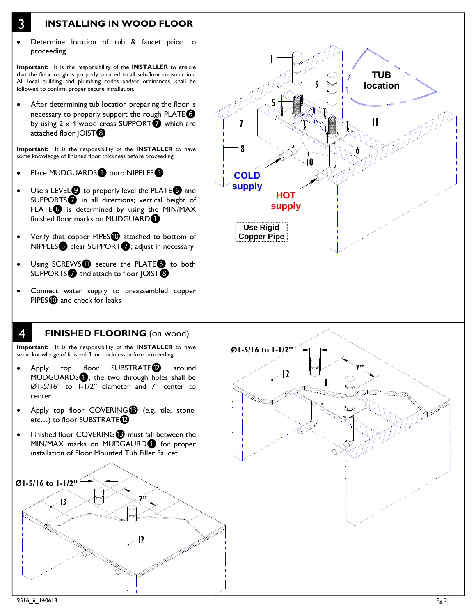- 3 **INSTALLING IN WOOD FLOOR**
- Determine location of tub & faucet prior to proceeding

**Important:** It is the responsibility of the **INSTALLER** to ensure that the floor rough is properly secured to all sub-floor construction. All local building and plumbing codes and/or ordinances, shall be followed to confirm proper secure installation.

After determining tub location preparing the floor is necessary to properly support the rough PLATE<sup>O</sup> by using  $2 \times 4$  wood cross SUPPORT $\bullet$  which are attached floor JOIST<sup>3</sup>

**Important:** It is the responsibility of the **INSTALLER** to have some knowledge of finished floor thickness before proceeding.

- Place MUDGUARDS onto NIPPLES<sup>®</sup>
- Use a LEVEL<sup>O</sup> to properly level the PLATE<sup>O</sup> and SUPPORTS❼ in all directions; vertical height of PLATE<sup>O</sup> is determined by using the MIN/MAX finished floor marks on MUDGUARD<sup>1</sup>
- Verify that copper PIPES<sup>O</sup> attached to bottom of NIPPLES**☉** clear SUPPORT*O*; adjust in necessary
- Using SCREWS<sup>1</sup> secure the PLATE<sup>3</sup> to both SUPPORTS<sup>2</sup> and attach to floor JOIST<sup>3</sup>
- Connect water supply to preassembled copper PIPES<sup>1</sup> and check for leaks





**Important:** It is the responsibility of the **INSTALLER** to have some knowledge of finished floor thickness before proceeding.

- Apply top floor SUBSTRATE<sup>2</sup> around MUDGUARDS❶, the two through holes shall be Ø1-5/16" to 1-1/2" diameter and 7" center to center
- Apply top floor COVERING<sup>®</sup> (e.g. tile, stone, etc...) to floor SUBSTRATE
- Finished floor COVERING<sup>®</sup> must fall between the MIN/MAX marks on MUDGAURD❶ for proper installation of Floor Mounted Tub Filler Faucet



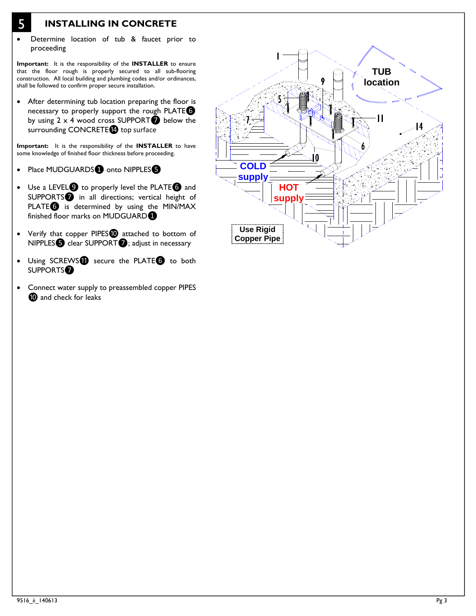- 5 **INSTALLING IN CONCRETE**
- Determine location of tub & faucet prior to proceeding

**Important:** It is the responsibility of the **INSTALLER** to ensure that the floor rough is properly secured to all sub-flooring construction. All local building and plumbing codes and/or ordinances, shall be followed to confirm proper secure installation.

• After determining tub location preparing the floor is necessary to properly support the rough PLATE $\bullet$ by using  $2 \times 4$  wood cross SUPPORT $\bigcirc$  below the surrounding CONCRETE<sup>1</sup> top surface

**Important:** It is the responsibility of the **INSTALLER** to have some knowledge of finished floor thickness before proceeding.

- Place MUDGUARDS onto NIPPLES
- Use a LEVEL<sup>1</sup> to properly level the PLATE<sup>1</sup> and SUPPORTS<sup>1</sup> in all directions; vertical height of PLATE<sup>O</sup> is determined by using the MIN/MAX finished floor marks on MUDGUARD<sup>1</sup>
- Verify that copper PIPES<sup>1</sup> attached to bottom of NIPPLES**☉** clear SUPPORT*O*; adjust in necessary
- Using SCREWS<sup>1</sup> secure the PLATE<sup>6</sup> to both SUPPORTS❼
- Connect water supply to preassembled copper PIPES **<sup>1</sup>** and check for leaks